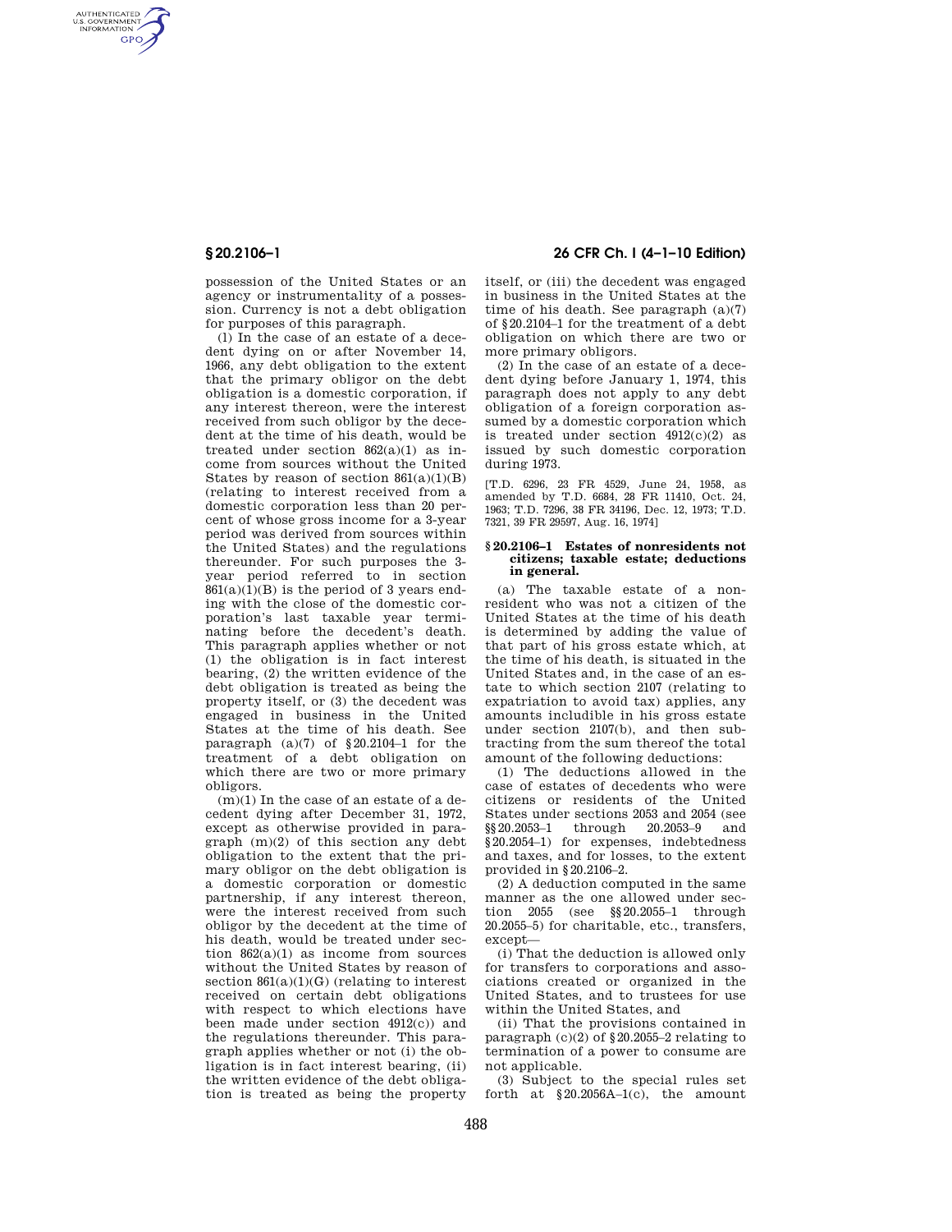AUTHENTICATED<br>U.S. GOVERNMENT<br>INFORMATION **GPO** 

> possession of the United States or an agency or instrumentality of a possession. Currency is not a debt obligation for purposes of this paragraph.

(l) In the case of an estate of a decedent dying on or after November 14, 1966, any debt obligation to the extent that the primary obligor on the debt obligation is a domestic corporation, if any interest thereon, were the interest received from such obligor by the decedent at the time of his death, would be treated under section 862(a)(1) as income from sources without the United States by reason of section  $861(a)(1)(B)$ (relating to interest received from a domestic corporation less than 20 percent of whose gross income for a 3-year period was derived from sources within the United States) and the regulations thereunder. For such purposes the 3 year period referred to in section 861(a)(1)(B) is the period of 3 years ending with the close of the domestic corporation's last taxable year terminating before the decedent's death. This paragraph applies whether or not (1) the obligation is in fact interest bearing, (2) the written evidence of the debt obligation is treated as being the property itself, or  $(3)$  the decedent was engaged in business in the United States at the time of his death. See paragraph  $(a)(7)$  of  $\S 20.2104-1$  for the treatment of a debt obligation on which there are two or more primary obligors.

 $(m)(1)$  In the case of an estate of a decedent dying after December 31, 1972, except as otherwise provided in paragraph (m)(2) of this section any debt obligation to the extent that the primary obligor on the debt obligation is a domestic corporation or domestic partnership, if any interest thereon, were the interest received from such obligor by the decedent at the time of his death, would be treated under section 862(a)(1) as income from sources without the United States by reason of section  $861(a)(1)(G)$  (relating to interest received on certain debt obligations with respect to which elections have been made under section  $4912(c)$  and the regulations thereunder. This paragraph applies whether or not (i) the obligation is in fact interest bearing (ii) the written evidence of the debt obligation is treated as being the property

# **§ 20.2106–1 26 CFR Ch. I (4–1–10 Edition)**

itself, or (iii) the decedent was engaged in business in the United States at the time of his death. See paragraph (a)(7) of §20.2104–1 for the treatment of a debt obligation on which there are two or more primary obligors.

(2) In the case of an estate of a decedent dying before January 1, 1974, this paragraph does not apply to any debt obligation of a foreign corporation assumed by a domestic corporation which is treated under section  $4912(c)(2)$  as issued by such domestic corporation during 1973.

[T.D. 6296, 23 FR 4529, June 24, 1958, as amended by T.D. 6684, 28 FR 11410, Oct. 24, 1963; T.D. 7296, 38 FR 34196, Dec. 12, 1973; T.D. 7321, 39 FR 29597, Aug. 16, 1974]

## **§ 20.2106–1 Estates of nonresidents not citizens; taxable estate; deductions in general.**

(a) The taxable estate of a nonresident who was not a citizen of the United States at the time of his death is determined by adding the value of that part of his gross estate which, at the time of his death, is situated in the United States and, in the case of an estate to which section 2107 (relating to expatriation to avoid tax) applies, any amounts includible in his gross estate under section 2107(b), and then subtracting from the sum thereof the total amount of the following deductions:

(1) The deductions allowed in the case of estates of decedents who were citizens or residents of the United States under sections 2053 and 2054 (see §§20.2053–1 through 20.2053–9 and §20.2054–1) for expenses, indebtedness and taxes, and for losses, to the extent provided in §20.2106–2.

(2) A deduction computed in the same manner as the one allowed under section 2055 (see §§20.2055–1 through 20.2055–5) for charitable, etc., transfers, except—

(i) That the deduction is allowed only for transfers to corporations and associations created or organized in the United States, and to trustees for use within the United States, and

(ii) That the provisions contained in paragraph (c)(2) of §20.2055–2 relating to termination of a power to consume are not applicable.

(3) Subject to the special rules set forth at  $$20.2056A-1(c)$ , the amount